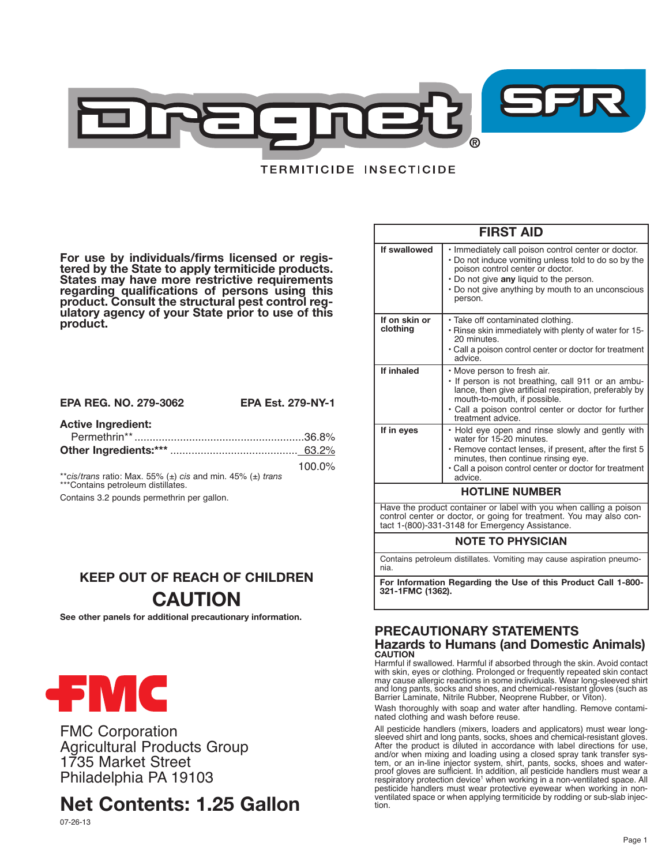

# **TERMITICIDE INSECTICIDE**

For use by individuals/firms licensed or regis-<br>tered by the State to apply termiticide products.<br>States may have more restrictive requirements **regarding qualifications of persons using this product. Consult the structural pest control reg- ulatory agency of your State prior to use of this** ulatory agency of your State prior to use of this<br>product.

### **EPA REG. NO. 279-3062 EPA Est. 279-NY-1**

# **Active Ingredient:**

| 100 $\Omega$ |
|--------------|

100.0% \*\**cis/trans* ratio: Max. 55% (±) *cis* and min. 45% (±) *trans* \*\*\*Contains petroleum distillates.

Contains 3.2 pounds permethrin per gallon.

# **KEEP OUT OF REACH OF CHILDREN CAUTION**

**See other panels for additional precautionary information.**



FMC Corporation Agricultural Products Group 1735 Market Street Philadelphia PA 19103

# **Net Contents: 1.25 Gallon**

| <b>FIRST AID</b>                                                                                                                                                                             |                                                                                                                                                                                                                                                            |  |
|----------------------------------------------------------------------------------------------------------------------------------------------------------------------------------------------|------------------------------------------------------------------------------------------------------------------------------------------------------------------------------------------------------------------------------------------------------------|--|
| If swallowed                                                                                                                                                                                 | . Immediately call poison control center or doctor.<br>• Do not induce vomiting unless told to do so by the<br>poison control center or doctor.<br>• Do not give any liquid to the person.<br>• Do not give anything by mouth to an unconscious<br>person. |  |
| If on skin or<br>clothing                                                                                                                                                                    | • Take off contaminated clothing.<br>. Rinse skin immediately with plenty of water for 15-<br>20 minutes.<br>• Call a poison control center or doctor for treatment<br>advice.                                                                             |  |
| If inhaled                                                                                                                                                                                   | • Move person to fresh air.<br>• If person is not breathing, call 911 or an ambu-<br>lance, then give artificial respiration, preferably by<br>mouth-to-mouth, if possible.<br>· Call a poison control center or doctor for further<br>treatment advice.   |  |
| If in eyes                                                                                                                                                                                   | . Hold eye open and rinse slowly and gently with<br>water for 15-20 minutes.<br>· Remove contact lenses, if present, after the first 5<br>minutes, then continue rinsing eye.<br>• Call a poison control center or doctor for treatment<br>advice.         |  |
| <b>HOTLINE NUMBER</b>                                                                                                                                                                        |                                                                                                                                                                                                                                                            |  |
| Have the product container or label with you when calling a poison<br>control center or doctor, or going for treatment. You may also con-<br>tact 1-(800)-331-3148 for Emergency Assistance. |                                                                                                                                                                                                                                                            |  |

### **NOTE TO PHYSICIAN**

Contains petroleum distillates. Vomiting may cause aspiration pneumonia.

**For Information Regarding the Use of this Product Call 1-800- 321-1FMC (1362).**

# **PRECAUTIONARY STATEMENTS Hazards to Humans (and Domestic Animals) CAUTION**

Harmful if swallowed. Harmful if absorbed through the skin. Avoid contact<br>with skin, eyes or clothing. Prolonged or frequently repeated skin contact<br>may cause allergic reactions in some individuals. Wear long-sleeved shirt and long pants, socks and shoes, and chemical-resistant gloves (such as Barrier Laminate, Nitrile Rubber, Neoprene Rubber, or Viton).

Wash thoroughly with soap and water after handling. Remove contaminated clothing and wash before reuse.

All pesticide handlers (mixers, loaders and applicators) must wear longsleeved shirt and long pants, socks, shoes and chemical-resistant gloves.<br>After the product is diluted in accordance with label directions for use, and/or when mixing and loading using a closed spray tank transfer sysand/or when mixing and loading using a closed spray tank transfer sys-<br>tem, or an in-line injector system, shirt, pants, socks, shoes and water-<br>proof gloves are sufficient. In addition, all pesticide handlers must wear a respiratory protection device<sup>1</sup> when working in a non-ventilated space. All pesticide handlers must wear protective eyewear when working in nonventilated space or when applying termiticide by rodding or sub-slab injection.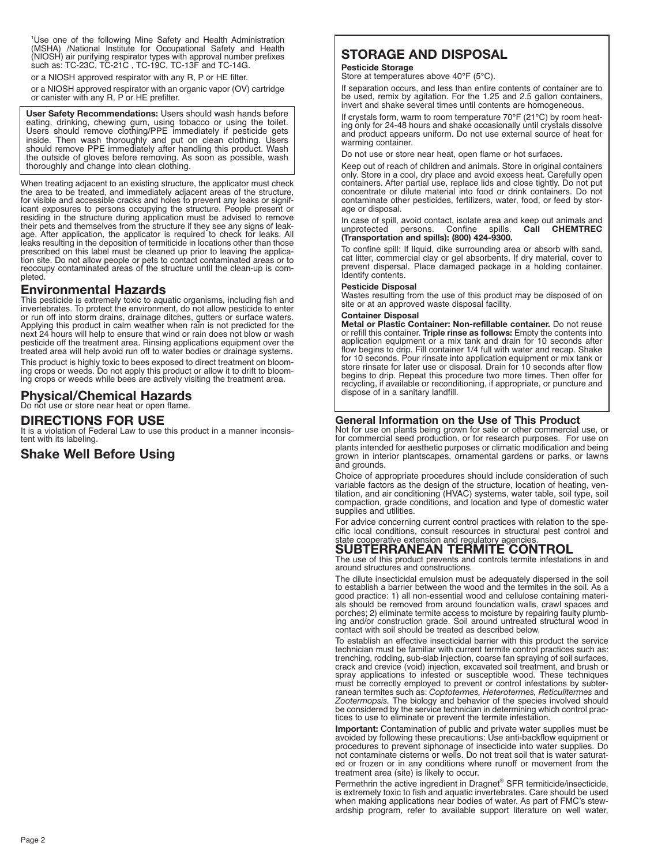<sup>1</sup>Use one of the following Mine Safety and Health Administration 'Use one of the following Mine Safety and Health Administration<br>(MSHA) /National Institute for Occupational Safety and Health<br>(NIOSH) air purifying respirator types with approval number prefixes such as: TC-23C, TC-21C , TC-19C, TC-13F and TC-14G.

or a NIOSH approved respirator with any R, P or HE filter.

or a NIOSH approved respirator with an organic vapor (OV) cartridge or canister with any R, P or HE prefilter.

**User Safety Recommendations:** Users should wash hands before eating, drinking, chewing gum, using tobacco or using the toilet. Users should remove clothing/PPE immediately if pesticide gets inside. Then wash thoroughly and put on clean clothing. Users should remove PPE immediately after handling this product. Wash the outside of gloves before removing. As soon as possible, wash thoroughly and change into clean clothing.

When treating adjacent to an existing structure, the applicator must check the area to be treated, and immediately adjacent areas of the structure, for visible and accessible cracks and holes to prevent any leaks or significant exposures to persons occupying the structure. People present or residing in the structure during application must be advised to remove their pets and themselves from the structure if they see any signs of leak-<br>age. After application, the applicator is required to check for leaks. All<br>leaks resulting in the deposition of termiticide in locations other tha prescribed on this label must be cleaned up prior to leaving the applica-tion site. Do not allow people or pets to contact contaminated areas or to reoccupy contaminated areas of the structure until the clean-up is completed.

# **Environmental Hazards**

This pesticide is extremely toxic to aquatic organisms, including fish and invertebrates. To protect the environment, do not allow pesticide to enter or run off into storm drains, drainage ditches, gutters or surface waters. Applying this product in calm weather when rain is not predicted for the next 24 hours will help to ensure that wind or rain does not blow or wash pesticide off the treatment area. Rinsing applications equipment over the treated area will help avoid run off to water bodies or drainage systems.

This product is highly toxic to bees exposed to direct treatment on bloom-ing crops or weeds. Do not apply this product or allow it to drift to blooming crops or weeds while bees are actively visiting the treatment area.

# **Physical/Chemical Hazards**

Do not use or store near heat or open flame.

## **DIRECTIONS FOR USE**

It is a violation of Federal Law to use this product in a manner inconsistent with its labeling.

# **Shake Well Before Using**

# **STORAGE AND DISPOSAL**

**Pesticide Storage**

Store at temperatures above 40°F (5°C).

If separation occurs, and less than entire contents of container are to be used, remix by agitation. For the 1.25 and 2.5 gallon containers, invert and shake several times until contents are homogeneous.

If crystals form, warm to room temperature 70°F (21°C) by room heat- ing only for 24-48 hours and shake occasionally until crystals dissolve and product appears uniform. Do not use external source of heat for warming container.

Do not use or store near heat, open flame or hot surfaces.

Keep out of reach of children and animals. Store in original containers only. Store in a cool, dry place and avoid excess heat. Carefully open containers. After partial use, replace lids and close tightly. Do not put concentrate or dilute material into food or drink containers. Do not contaminate other pesticides, fertilizers, water, food, or feed by storage or disposal.

In case of spill, avoid contact, isolate area and keep out animals and unprotected persons. Confine spills. **Call CHEMTREC (Transportation and spills): (800) 424-9300.**

To confine spill: If liquid, dike surrounding area or absorb with sand,<br>cat litter, commercial clay or gel absorbents. If dry material, cover to prevent dispersal. Place damaged package in a holding container.<br>Identify contents.

#### **Pesticide Disposal**

Wastes resulting from the use of this product may be disposed of on site or at an approved waste disposal facility.

#### **Container Disposal**

**Metal or Plastic Container: Non-refillable container.** Do not reuse or refill this container. **Triple rinse as follows:** Empty the contents into application equipment or a mix tank and drain for 10 seconds after flow begins to drip. Fill container 1/4 full with water and recap. Shake for 10 seconds. Pour rinsate into application equipment or mix tank or store rinsate for later use or disposal. Drain for 10 seconds after flow begins to drip. Repeat this procedure two more times. Then offer for recycling, if available or reconditioning, if appropriate, or puncture and dispose of in a sanitary landfill.

### **General Information on the Use of This Product**

Not for use on plants being grown for sale or other commercial use, or for commercial seed production, or for research purposes. For use on plants intended for aesthetic purposes or climatic modification and being grown in interior plantscapes, ornamental gardens or parks, or lawns and grounds.

Choice of appropriate procedures should include consideration of such variable factors as the design of the structure, location of heating, ventilation, and air conditioning (HVAC) systems, water table, soil type, soil compaction, grade conditions, and location and type of domestic water supplies and utilities.

For advice concerning current control practices with relation to the specific local conditions, consult resources in structural pest control and state cooperative extension and regulatory agencies

# **SUBTERRANEAN TERMITE CONTROL**

The use of this product prevents and controls termite infestations in and around structures and constructions.

The dilute insecticidal emulsion must be adequately dispersed in the soil to establish a barrier between the wood and the termites in the soil. As a good practice: 1) all non-essential wood and cellulose containing materials should be removed from around foundation walls, crawl spaces and porches; 2) eliminate termite access to moisture by repairing faulty plumb-ing and/or construction grade. Soil around untreated structural wood in contact with soil should be treated as described below.

To establish an effective insecticidal barrier with this product the service technician must be familiar with current termite control practices such as: trenching, rodding, sub-slab injection, coarse fan spraying of soil surfaces, crack and crevice (void) injection, excavated soil treatment, and brush or spray applications to infested or susceptible wood. These techniques must be correctly employed to prevent or control infestations by subterranean termites such as: *Coptotermes, Heterotermes, Reticulitermes* and *Zootermopsis.* The biology and behavior of the species involved should be considered by the service technician in determining which control prac- tices to use to eliminate or prevent the termite infestation.

**Important:** Contamination of public and private water supplies must be avoided by following these precautions: Use anti-backflow equipment or procedures to prevent siphonage of insecticide into water supplies. Do not contaminate cisterns or wells. Do not treat soil that is water saturated or frozen or in any conditions where runoff or movement from the treatment area (site) is likely to occur.

Permethrin the active ingredient in Dragnet ® SFR termiticide/insecticide, is extremely toxic to fish and aquatic invertebrates. Care should be used when making applications near bodies of water. As part of FMC's stewardship program, refer to available support literature on well water,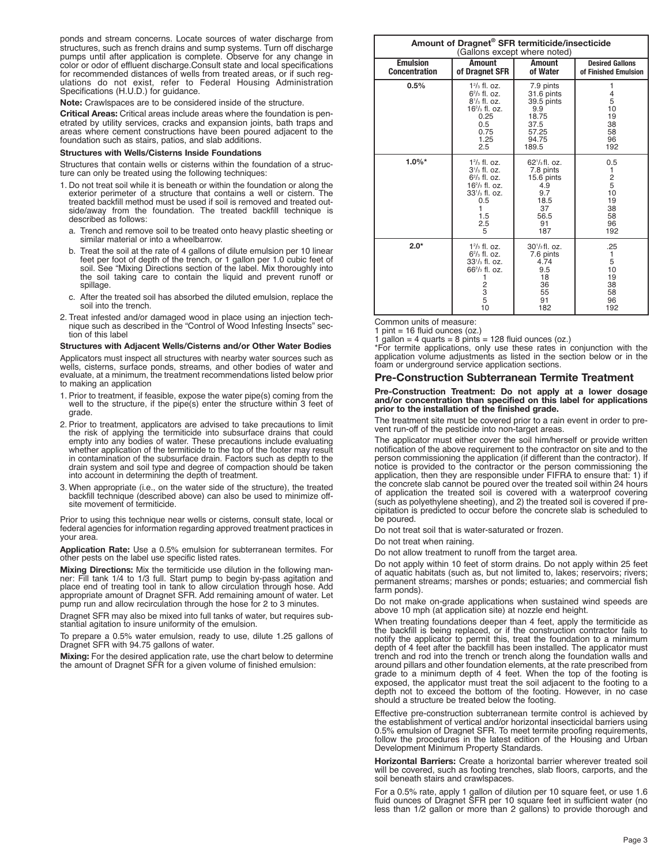ponds and stream concerns. Locate sources of water discharge from structures, such as french drains and sump systems. Turn off discharge pumps until after application is complete. Observe for any change in color or odor of effluent discharge.Consult state and local specifications for recommended distances of wells from treated areas, or if such regulations do not exist, refer to Federal Housing Administration Specifications (H.U.D.) for guidance.

**Note:** Crawlspaces are to be considered inside of the structure.

**Critical Areas:** Critical areas include areas where the foundation is penetrated by utility services, cracks and expansion joints, bath traps and areas where cement constructions have been poured adjacent to the foundation such as stairs, patios, and slab additions.

#### **Structures with Wells/Cisterns Inside Foundations**

Structures that contain wells or cisterns within the foundation of a structure can only be treated using the following techniques:

- 1. Do not treat soil while it is beneath or within the foundation or along the exterior perimeter of a structure that contains a well or cistern. The treated backfill method must be used if soil is removed and treated outside/away from the foundation. The treated backfill technique is described as follows:
	- a. Trench and remove soil to be treated onto heavy plastic sheeting or similar material or into <sup>a</sup> wheelbarrow.
	- b. Treat the soil at the rate of <sup>4</sup> gallons of dilute emulsion per <sup>10</sup> linear feet per foot of depth of the trench, or <sup>1</sup> gallon per 1.0 cubic feet of soil. See "Mixing Directions section of the label. Mix thoroughly into the soil taking care to contain the liquid and prevent runoff or spillage.
	- c. After the treated soil has absorbed the diluted emulsion, replace the soil into the trench.
- 2. Treat infested and/or damaged wood in place using an injection technique such as described in the "Control of Wood Infesting Insects" section of this label

#### **Structures with Adjacent Wells/Cisterns and/or Other Water Bodies**

Applicators must inspect all structures with nearby water sources such as wells, cisterns, surface ponds, streams, and other bodies of water and evaluate, at a minimum, the treatment recommendations listed below prior to making an application

- 1. Prior to treatment, if feasible, expose the water pipe(s) coming from the well to the structure, if the pipe(s) enter the structure within 3 feet of grade.
- 2. Prior to treatment, applicators are advised to take precautions to limit<br>the risk of applying the termiticide into subsurface drains that could<br>empty into any bodies of water. These precautions include evaluating<br>whethe in contamination of the subsurface drain. Factors such as depth to the drain system and soil type and degree of compaction should be taken into account in determining the depth of treatment.
- 3. When appropriate (i.e., on the water side of the structure), the treated backfill technique (described above) can also be used to minimize offsite movement of termiticide.

Prior to using this technique near wells or cisterns, consult state, local or federal agencies for information regarding approved treatment practices in your area.

**Application Rate:** Use a 0.5% emulsion for subterranean termites. For other pests on the label use specific listed rates.

**Mixing Directions:** Mix the termiticide use dilution in the following manner: Fill tank 1/4 to 1/3 full. Start pump to begin by-pass agitation and place end of treating tool in tank to allow circulation through hose. Add appropriate amount of Dragnet SFR. Add remaining amount of water. Let pump run and allow recirculation through the hose for 2 to 3 minutes.

Dragnet SFR may also be mixed into full tanks of water, but requires substantial agitation to insure uniformity of the emulsion.

To prepare a 0.5% water emulsion, ready to use, dilute 1.25 gallons of Dragnet SFR with 94.75 gallons of water.

**Mixing:** For the desired application rate, use the chart below to determine the amount of Dragnet SFR for a given volume of finished emulsion:

| Amount of Dragnet <sup>®</sup> SFR termiticide/insecticide<br>(Gallons except where noted) |                                                                                                                                                     |                                                                                                     |                                                                |  |
|--------------------------------------------------------------------------------------------|-----------------------------------------------------------------------------------------------------------------------------------------------------|-----------------------------------------------------------------------------------------------------|----------------------------------------------------------------|--|
| <b>Emulsion</b><br><b>Concentration</b>                                                    | <b>Amount</b><br>of Dragnet SFR                                                                                                                     | <b>Amount</b><br>of Water                                                                           | <b>Desired Gallons</b><br>of Finished Emulsion                 |  |
| 0.5%                                                                                       | $12/3$ fl. oz.<br>$62/3$ fl. oz.<br>$8^{1}/_{3}$ fl. oz.<br>$162/3$ fl. oz.<br>0.25<br>0.5<br>0.75<br>1.25<br>2.5                                   | 7.9 pints<br>31.6 pints<br>39.5 pints<br>9.9<br>18.75<br>37.5<br>57.25<br>94.75<br>189.5            | 1<br>4<br>5<br>10<br>19<br>38<br>58<br>96<br>192               |  |
| $1.0\%$ *                                                                                  | $12/3$ fl. oz.<br>$3\frac{1}{3}$ fl. oz.<br>$62/3$ fl. oz.<br>$162/3$ fl. oz.<br>$33'/_3$ fl. oz.<br>0.5<br>1.5<br>2.5<br>5                         | $62\frac{1}{3}$ fl. oz.<br>7.8 pints<br>15.6 pints<br>4.9<br>9.7<br>18.5<br>37<br>56.5<br>91<br>187 | 0.5<br>1<br>$\frac{2}{5}$<br>10<br>19<br>38<br>58<br>96<br>192 |  |
| $2.0*$                                                                                     | $12/3$ fl. oz.<br>$62/3$ fl. oz.<br>$33'/_3$ fl. oz.<br>$66^2$ / $\frac{1}{3}$ fl. oz.<br>1<br>$\begin{array}{c}\n 2 \\ 3 \\ 5\n \end{array}$<br>10 | $30\frac{1}{3}$ fl. oz.<br>7.6 pints<br>4.74<br>9.5<br>18<br>36<br>55<br>91<br>182                  | .25<br>1<br>5<br>10<br>19<br>38<br>58<br>96<br>192             |  |

Common units of measure: <sup>1</sup> pint <sup>=</sup> <sup>16</sup> fluid ounces (oz.)

1 gallon = 4 quarts = 8 pints = 128 fluid ounces (oz.) \*For termite applications, only use these rates in conjunction with the application volume adjustments as listed in the section below or in the foam or underground service application sections.

#### **Pre-Construction Subterranean Termite Treatment**

#### **Pre-Construction Treatment: Do not apply at a lower dosage and/or concentration than specified on this label for applications prior to the installation of the finished grade.**

The treatment site must be covered prior to a rain event in order to prevent run-off of the pesticide into non-target areas.

The applicator must either cover the soil him/herself or provide written notification of the above requirement to the contractor on site and to the person commissioning the application (if different than the contractor). If notice is provided to the contractor or the person commissioning the application, then they are responsible under FIFRA to ensure that: 1) if the concrete slab cannot be poured over the treated soil within 24 hours of application the treated soil is covered with a waterproof covering (such as polyethylene sheeting), and 2) the treated soil is covered if precipitation is predicted to occur before the concrete slab is scheduled to be poured.

Do not treat soil that is water-saturated or frozen.

Do not treat when raining.

Do not allow treatment to runoff from the target area.

Do not apply within 10 feet of storm drains. Do not apply within 25 feet of aquatic habitats (such as, but not limited to, lakes; reservoirs; rivers; permanent streams; marshes or ponds; estuaries; and commercial fish farm ponds).

Do not make on-grade applications when sustained wind speeds are above 10 mph (at application site) at nozzle end height.

When treating foundations deeper than 4 feet, apply the termiticide as the backfill is being replaced, or if the construction contractor fails to notify the applicator to permit this, treat the foundation to a minimum depth of 4 feet after the backfill has been installed. The applicator must trench and rod into the trench or trench along the foundation walls and around pillars and other foundation elements, at the rate prescribed from grade to a minimum depth of 4 feet. When the top of the footing is exposed, the applicator must treat the soil adjacent to the footing to a depth not to exceed the bottom of the footing. However, in no case should a structure be treated below the footing.

Effective pre-construction subterranean termite control is achieved by the establishment of vertical and/or horizontal insecticidal barriers using 0.5% emulsion of Dragnet SFR. To meet termite proofing requirements, follow the procedures in the latest edition of the Housing and Urban Development Minimum Property Standards.

**Horizontal Barriers:** Create a horizontal barrier wherever treated soil will be covered, such as footing trenches, slab floors, carports, and the soil beneath stairs and crawlspaces.

For a 0.5% rate, apply 1 gallon of dilution per 10 square feet, or use 1.6 fluid ounces of Dragnet SFR per 10 square feet in sufficient water (no less than 1/2 gallon or more than 2 gallons) to provide thorough and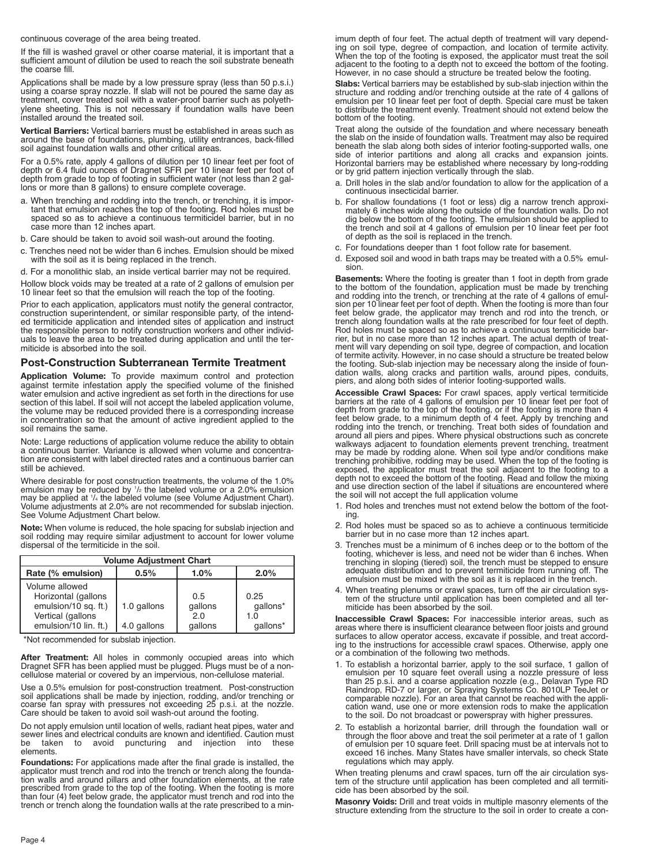continuous coverage of the area being treated.

If the fill is washed gravel or other coarse material, it is important that a sufficient amount of dilution be used to reach the soil substrate beneath the coarse fill.

Applications shall be made by a low pressure spray (less than 50 p.s.i.) using a coarse spray nozzle. If slab will not be poured the same day as treatment, cover treated soil with a water-proof barrier such as polyethylene sheeting. This is not necessary if foundation walls have been installed around the treated soil.

**Vertical Barriers:** Vertical barriers must be established in areas such as around the base of foundations, plumbing, utility entrances, back-filled soil against foundation walls and other critical areas.

For a 0.5% rate, apply 4 gallons of dilution per 10 linear feet per foot of depth or 6.4 fluid ounces of Dragnet SFR per 10 linear feet per foot of depth from grade to top of footing in sufficient water (not less than 2 gallons or more than 8 gallons) to ensure complete coverage.

- a. When trenching and rodding into the trench, or trenching, it is important that emulsion reaches the top of the footing. Rod holes must be spaced so as to achieve a continuous termiticidel barrier, but in no case more than 12 inches apart.
- b. Care should be taken to avoid soil wash-out around the footing.
- c. Trenches need not be wider than 6 inches. Emulsion should be mixed with the soil as it is being replaced in the trench.

d. For a monolithic slab, an inside vertical barrier may not be required.

Hollow block voids may be treated at a rate of 2 gallons of emulsion per 10 linear feet so that the emulsion will reach the top of the footing.

Prior to each application, applicators must notify the general contractor, construction superintendent, or similar responsible party, of the intended termiticide application and intended sites of application and instruct the responsible person to notify construction workers and other individuals to leave the area to be treated during application and until the termiticide is absorbed into the soil.

### **Post-Construction Subterranean Termite Treatment**

**Application Volume:** To provide maximum control and protection against termite infestation apply the specified volume of the finished water emulsion and active ingredient as set forth in the directions for use section of this label. If soil will not accept the labeled application volume, the volume may be reduced provided there is a corresponding increase in concentration so that the amount of active ingredient applied to the soil remains the same.

Note: Large reductions of application volume reduce the ability to obtain a continuous barrier. Variance is allowed when volume and concentration are consistent with label directed rates and a continuous barrier can still be achieved.

Where desirable for post construction treatments, the volume of the 1.0% emulsion may be reduced by  $1/2$  the labeled volume or a 2.0% emulsion emulsion may be reduced by '/ɛ the labeled volume or a 2.0% emulsion<br>may be applied at '/<sub>ª</sub> the labeled volume (see Volume Adjustment Chart). Volume adjustments at 2.0% are not recommended for subslab injection. See Volume Adjustment Chart below.

**Note:** When volume is reduced, the hole spacing for subslab injection and soil rodding may require similar adjustment to account for lower volume dispersal of the termiticide in the soil.

| <b>Volume Adjustment Chart</b>                                                                              |                            |                                  |                                     |
|-------------------------------------------------------------------------------------------------------------|----------------------------|----------------------------------|-------------------------------------|
| Rate (% emulsion)                                                                                           | 0.5%                       | 1.0%                             | $2.0\%$                             |
| Volume allowed<br>Horizontal (gallons<br>emulsion/10 sq. ft.)<br>Vertical (gallons<br>emulsion/10 lin. ft.) | 1.0 gallons<br>4.0 gallons | 0.5<br>gallons<br>2.0<br>gallons | 0.25<br>qallons*<br>1.0<br>qallons* |

\*Not recommended for subslab injection.

**After Treatment:** All holes in commonly occupied areas into which Dragnet SFR has been applied must be plugged. Plugs must be of a noncellulose material or covered by an impervious, non-cellulose material.

Use a 0.5% emulsion for post-construction treatment. Post-construction soil applications shall be made by injection, rodding, and/or trenching or<br>coarse fan spray with pressures not exceeding 25 p.s.i. at the nozzle.<br>Care should be taken to avoid soil wash-out around the footing.

Do not apply emulsion until location of wells, radiant heat pipes, water and<br>sewer lines and electrical conduits are known and identified. Caution must<br>be taken to avoid puncturing and injection into these be taken to avoid puncturing and injection into elements.

**Foundations:** For applications made after the final grade is installed, the<br>applicator must trench and rod into the trench or trench along the founda-<br>tion walls and around pillars and other foundation elements, at the ra prescribed from grade to the top of the footing. When the footing is more<br>than four (4) feet below grade, the applicator must trench and rod into the<br>trench or trench along the foundation walls at the rate prescribed to a imum depth of four feet. The actual depth of treatment will vary depending on soil type, degree of compaction, and location of termite activity.<br>When the top of the footing is exposed, the applicator must treat the soil<br>adjacent to the footing to a depth not to exceed the bottom of the footin

**Slabs:** Vertical barriers may be established by sub-slab injection within the<br>structure and rodding and/or trenching outside at the rate of 4 gallons of<br>emulsion per 10 linear feet per foot of depth. Special care must be to distribute the treatment evenly. Treatment should not extend below the bottom of the footing.

Treat along the outside of the foundation and where necessary beneath the slab on the inside of foundation walls. Treatment may also be required beneath the slab along both sides of interior footing-supported walls, one side of interior partitions and along all cracks and expansion joints. Horizontal barriers may be established where necessary by long-rodding or by grid pattern injection vertically through the slab.

- a. Drill holes in the slab and/or foundation to allow for the application of a continuous insecticidal barrier.
- b. For shallow foundations (1 foot or less) dig a narrow trench approxi-mately 6 inches wide along the outside of the foundation walls. Do not dig below the bottom of the footing. The emulsion should be applied to the trench and soil at 4 gallons of emulsion per 10 linear feet per foot of depth as the soil is replaced in the trench.
- c. For foundations deeper than 1 foot follow rate for basement.
- d. Exposed soil and wood in bath traps may be treated with <sup>a</sup> 0.5% emul- sion.

**Basements:** Where the footing is greater than 1 foot in depth from grade to the bottom of the foundation, application must be made by trenching and rodding into the trench, or trenching at the rate of 4 gallons of emul-<br>sion per 10 linear feet per foot of depth. When the footing is more than four<br>feet below grade, the applicator may trench and rod into the trench, trench along foundation walls at the rate prescribed for four feet of depth. Rod holes must be spaced so as to achieve a continuous termiticide bar-rier, but in no case more than 12 inches apart. The actual depth of treat-ment will vary depending on soil type, degree of compaction, and location of termite activity. However, in no case should a structure be treated below the footing. Sub-slab injection may be necessary along the inside of foun-dation walls, along cracks and partition walls, around pipes, conduits, piers, and along both sides of interior footing-supported walls.

**Accessible Crawl Spaces:** For crawl spaces, apply vertical termiticide barriers at the rate of 4 gallons of emulsion per 10 linear feet per foot of depth from grade to the top of the footing, or if the footing is more tha rodding into the trench, or trenching. Treat both sides of foundation and around all piers and pipes. Where physical obstructions such as concrete walkways adjacent to foundation elements prevent trenching, treatment<br>may be made by rodding alone. When soil type and/or conditions make<br>trenching prohibitive, rodding may be used. When the top of the footing is exposed, the applicator must treat the soil adjacent to the footing to a depth not to exceed the bottom of the footing. Read and follow the mixing and use direction section of the label if situations are encountered where the soil will not accept the full application volume

- 1. Rod holes and trenches must not extend below the bottom of the footing.
- 2. Rod holes must be spaced so as to achieve a continuous termiticide barrier but in no case more than 12 inches apart.
- 3. Trenches must be a minimum of 6 inches deep or to the bottom of the trenching in sloping (tiered) soil, the trench must be stepped to ensure adequate distribution and to prevent termiticide from running off. The emulsion must be mixed with the soil as it is replaced in the trench.
- 4. When treating plenums or crawl spaces, turn off the air circulation sys- tem of the structure until application has been completed and all termiticide has been absorbed by the soil.

**Inaccessible Crawl Spaces:** For inaccessible interior areas, such as areas where there is insufficient clearance between floor joists and ground surfaces to allow operator access, excavate if possible, and treat according to the instructions for accessible crawl spaces. Otherwise, apply one or <sup>a</sup> combination of the following two methods.

- 1. To establish a horizontal barrier, apply to the soil surface, 1 gallon of emulsion per 10 square feet overall using a nozzle pressure of less than 25 p.s.i. and a coarse application nozzle (e.g., Delavan Type RD Raindro to the soil. Do not broadcast or powerspray with higher pressures.
- 2. To establish a horizontal barrier, drill through the foundation wall or through the floor above and treat the soil perimeter at a rate of 1 gallon through the floor above and treat the soil perimeter at a rate of 1 gallon<br>of emulsion per 10 square feet. Drill spacing must be at intervals not to<br>exceed 16 inches. Many States have smaller intervals, so check State<br>regu

When treating plenums and crawl spaces, turn off the air circulation sys- tem of the structure until application has been completed and all termiticide has been absorbed by the soil.

**Masonry Voids:** Drill and treat voids in multiple masonry elements of the structure extending from the structure to the soil in order to create a con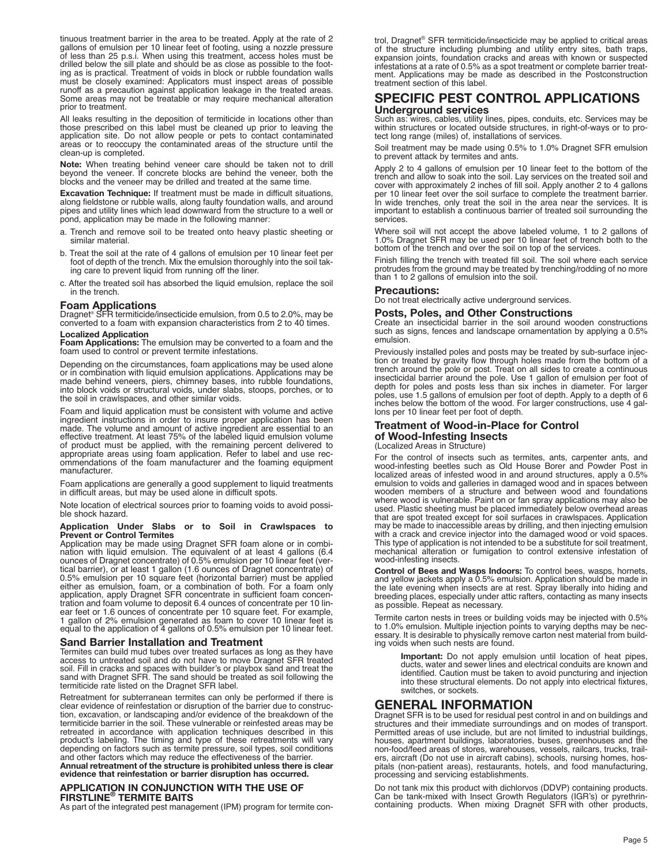tinuous treatment barrier in the area to be treated. Apply at the rate of 2 gallons of emulsion per 10 linear feet of footing, using a nozzle pressure of less than 25 p.s.i. When using this treatment, access holes must be ing as is practical. Treatment of voids in block or rubble foundation walls must be closely examined: Applicators must inspect areas of possible runoff as a precaution against application leakage in the treated areas. Some areas may not be treatable or may require mechanical alteration prior to treatment.

All leaks resulting in the deposition of termiticide in locations other than those prescribed on this label must be cleaned up prior to leaving the application site. Do not allow people or pets to contact contaminated areas or to reoccupy the contaminated areas of the structure until the clean-up is completed.

**Note:** When treating behind veneer care should be taken not to drill beyond the veneer. If concrete blocks are behind the veneer, both the blocks and the veneer may be drilled and treated at the same time.

**Excavation Technique:** If treatment must be made in difficult situations, along fieldstone or rubble walls, along faulty foundation walls, and around pipes and utility lines which lead downward from the structure to a well or pond, application may be made in the following manner:

- a. Trench and remove soil to be treated onto heavy plastic sheeting or similar material.
- b. Treat the soil at the rate of <sup>4</sup> gallons of emulsion per <sup>10</sup> linear feet per foot of depth of the trench. Mix the emulsion thoroughly into the soil taking care to prevent liquid from running off the liner.
- c. After the treated soil has absorbed the liquid emulsion, replace the soil in the trench.

#### **Foam Applications**

Dragnet<sup>®</sup> SFR termiticide/insecticide emulsion, from 0.5 to 2.0%, may be converted to a foam with expansion characteristics from 2 to 40 times.

**Localized Application Foam Applications:** The emulsion may be converted to <sup>a</sup> foam and the foam used to control or prevent termite infestations.

Depending on the circumstances, foam applications may be used alone<br>or in combination with liquid emulsion applications. Applications may be<br>made behind veneers, piers, chimney bases, into rubble foundations,<br>into block vo

Foam and liquid application must be consistent with volume and active ingredient instructions in order to insure proper application has been made. The volume and amount of active ingredient are essential to an effective tr

Foam applications are generally <sup>a</sup> good supplement to liquid treatments in difficult areas, but may be used alone in difficult spots.

Note location of electrical sources prior to foaming voids to avoid possi- ble shock hazard.

# **Application Under Slabs or to Soil in Crawlspaces to Prevent or Control Termites**

Application may be made using Dragnet SFR foam alone or in combination with liquid emulsion. The equivalent of at least 4 gallons (6.4 ounces of Dragnet concentrate) of 0.5% emulsion per 10 linear feet (ver-<br>tical barrier) either as emulsion, foam, or a combination of both. For a foam only application, apply Dragnet SFR concentrate in sufficient foam concentration and foam volume to deposit 6.4 ounces of concentrate per 10 linear feet or 1.6

#### **Sand Barrier Installation and Treatment**

Termites can build mud tubes over treated surfaces as long as they have access to untreated soil and do not have to move Dragnet SFR treated soil. Fill in cracks and spaces with builder's or playbox sand and treat the<br>sand with Dragnet SFR. The sand should be treated as soil following the<br>termiticide rate listed on the Dragnet SFR label.

Retreatment for subterranean termites can only be performed if there is clear evidence of reinfestation or disruption of the barrier due to construction, excavation, or landscaping and/or evidence of the breakdown of the termiticide barrier in the soil. These vulnerable or reinfested areas may be retreated in accordance with application techniques described in this product's labeling. The timing and type of these retreatments will vary depending on factors such as termite pressure, soil types, soil conditions and other factors which may reduce the effectiveness of the barrier.

Annual retreatment of the structure is prohibited unless there is clear<br>evidence that reinfestation or barrier disruption has occurred.

#### **APPLICATION IN CONJUNCTION WITH THE USE OF FIRSTLINE® TERMITE BAITS**

As part of the integrated pest management (IPM) program for termite con-

trol, Dragnet ® SFR termiticide/insecticide may be applied to critical areas of the structure including plumbing and utility entry sites, bath traps, expansion joints, foundation cracks and areas with known or suspected infestations at a rate of 0.5% as a spot treatment or complete barrier treatment. Applications may be made as described in the Postconstruction treatment section of this label.

# **SPECIFIC PEST CONTROL APPLICATIONS Underground services**

within structures or located outside structures, in right-of-ways or to protect long range (miles) of, installations of services.

Soil treatment may be made using 0.5% to 1.0% Dragnet SFR emulsion to prevent attack by termites and ants.

Apply 2 to 4 gallons of emulsion per 10 linear feet to the bottom of the<br>trench and allow to soak into the soil. Lay services on the treated soil and<br>cover with approximately 2 inches of fill soil. Apply another 2 to 4 gal In wide trenches, only treat the soil in the area near the services. It is important to establish a continuous barrier of treated soil surrounding the services.

Where soil will not accept the above labeled volume, 1 to 2 gallons of 1.0% Dragnet SFR may be used per 10 linear feet of trench both to the bottom of the trench and over the soil on top of the services.

Finish filling the trench with treated fill soil. The soil where each service protrudes from the ground may be treated by trenching/rodding of no more than <sup>1</sup> to <sup>2</sup> gallons of emulsion into the soil.

#### **Precautions:**

Do not treat electrically active underground services.

#### **Posts, Poles, and Other Constructions**

Create an insecticidal barrier in the soil around wooden constructions such as signs, fences and landscape ornamentation by applying a 0.5% emulsion.

Previously installed poles and posts may be treated by sub-surface injection or treated by gravity flow through holes made from the bottom of a trench around the pole or post. Treat on all sides to create a continuous insecticidal barrier around the pole. Use 1 gallon of emulsion per foot of depth for poles and posts less than six inches in diameter. For larger poles, use 1.5 gallons of emulsion per foot of depth. Apply to a depth of 6 inches below the bottom of the wood. For larger constructions, use 4 gallons per 10 linear feet per foot of depth.

#### **Treatment of Wood-in-Place for Control of Wood-Infesting Insects**

(Localized Areas in Structure)

For the control of insects such as termites, ants, carpenter ants, and wood-infesting beetles such as Old House Borer and Powder Post in localized areas of infested wood in and around structures, apply a 0.5% emulsion to voids and galleries in damaged wood and in spaces between wooden members of a structure and between wood and foundations where wood is vulnerable. Paint on or fan spray applications may also be used. Plastic sheeting must be placed immediately below overhead areas<br>that are spot treated except for soil surfaces in crawlspaces. Application<br>may be made to inaccessible areas by drilling, and then injecting emulsion<br>w mechanical alteration or fumigation to control extensive infestation of wood-infesting insects.

**Control of Bees and Wasps Indoors:** To control bees, wasps, hornets, and yellow jackets apply a 0.5% emulsion. Application should be made in the late evening when insects are at rest. Spray liberally into hiding and breeding places, especially under attic rafters, contacting as many insects as possible. Repeat as necessary.

Termite carton nests in trees or building voids may be injected with 0.5% to 1.0% emulsion. Multiple injection points to varying depths may be necessary. It is desirable to physically remove carton nest material from build-ing voids when such nests are found.

**Important:** Do not apply emulsion until location of heat pipes, ducts, water and sewer lines and electrical conduits are known and identified. Caution must be taken to avoid puncturing and injection into these structural elements. Do not apply into electrical fixtures, switches, or sockets.

### **GENERAL INFORMATION**

Dragnet SFR is to be used for residual pest control in and on buildings and structures and their immediate surroundings and on modes of transport. Permitted areas of use include, but are not limited to industrial buildings, houses, apartment buildings, laboratories, buses, greenhouses and the ers, aircraft (Do not use in aircraft cabins), schools, nursing homes, hospitals (non-patient areas), restaurants, hotels, and food manufacturing, processing and servicing establishments.

Do not tank mix this product with dichlorvos (DDVP) containing products. Can be tank-mixed with Insect Growth Regulators (IGR's) or pyrethrin- containing products. When mixing Dragnet SFR with other products,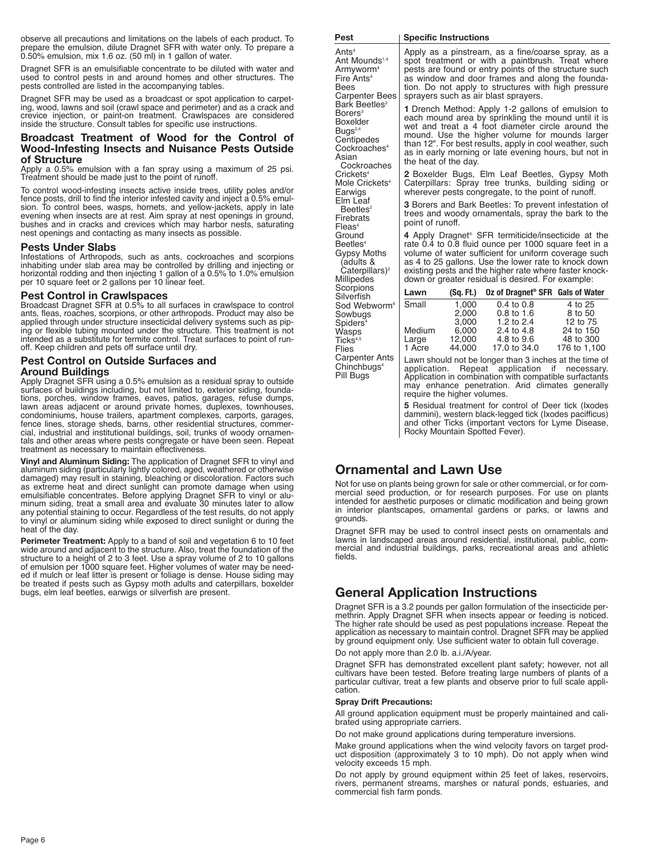observe all precautions and limitations on the labels of each product. To prepare the emulsion, dilute Dragnet SFR with water only. To prepare a 0.50% emulsion, mix 1.6 oz. (50 ml) in 1 gallon of water.

Dragnet SFR is an emulsifiable concentrate to be diluted with water and used to control pests in and around homes and other structures. The pests controlled are listed in the accompanying tables.

Dragnet SFR may be used as a broadcast or spot application to carpeting, wood, lawns and soil (crawl space and perimeter) and as a crack and<br>crevice injection, or paint-on treatment. Crawlspaces are considered<br>inside the structure. Consult tables for specific use instructions.

#### **Broadcast Treatment of Wood for the Control of Wood-Infesting Insects and Nuisance Pests Outside of Structure**

Apply <sup>a</sup> 0.5% emulsion with <sup>a</sup> fan spray using <sup>a</sup> maximum of <sup>25</sup> psi. Treatment should be made just to the point of runoff.

To control wood-infesting insects active inside trees, utility poles and/or fence posts, drill to find the interior infested cavity and inject a 0.5% emulsion. To control bees, wasps, hornets, and yellow-jackets, apply in evening when insects are at rest. Aim spray at nest openings in ground, bushes and in cracks and crevices which may harbor nests, saturating nest openings and contacting as many insects as possible.

#### **Pests Under Slabs**

Infestations of Arthropods, such as ants, cockroaches and scorpions inhabiting under slab area may be controlled by drilling and injecting or inhabiting under slab area may be controlled by drilling and injecting or<br>horizontal rodding and then injecting 1 gallon of a 0.5% to 1.0% emulsion<br>per 10 square feet or 2 gallons per 10 linear feet.

#### **Pest Control in Crawlspaces**

Broadcast Dragnet SFR at 0.5% to all surfaces in crawlspace to control ants, fleas, roaches, scorpions, or other arthropods. Product may also be applied through under structure insecticidal delivery systems such as piping or flexible tubing mounted under the structure. This treatment is not intended as a substitute for termite control. Treat surfaces to point of runoff. Keep children and pets off surface until dry.

### **Pest Control on Outside Surfaces and Around Buildings**

Apply Dragnet SFR using a 0.5% emulsion as a residual spray to outside surfaces of buildings including, but not limited to, exterior siding, founda-tions, porches, window frames, eaves, patios, garages, refuse dumps, lawn areas adjacent or around private homes, duplexes, townhouses, condominiums, house trailers, apartment complexes, carports, garages, fence lines, storage sheds, barns, other residential structures, commercial, industrial and institutional buildings, soil, trunks of woody ornamentals and other areas where pests congregate or have been seen. Repeat treatment as necessary to maintain effectiveness.

**Vinyl and Aluminum Siding:** The application of Dragnet SFR to vinyl and aluminum siding (particularly lightly colored, aged, weathered or otherwise damaged) may result in staining, bleaching or discoloration. Factors such as extreme heat and direct sunlight can promote damage when using emulsifiable concentrates. Before applying Dragnet SFR to vinyl or aluminum siding, treat a small area and evaluate 30 minutes later to allow any potential staining to occur. Regardless of the test results, do not apply to vinyl or aluminum siding while exposed to direct sunlight or during the heat of the day.

**Perimeter Treatment:** Apply to a band of soil and vegetation 6 to 10 feet wide around and adjacent to the structure. Also, treat the foundation of the structure to a height of 2 to 3 feet. Use a spray volume of 2 to 10 ga of emulsion per 1000 square feet. Higher volumes of water may be needed if mulch or leaf litter is present or foliage is dense. House siding may<br>be treated if pests such as Gypsy moth adults and caterpillars, boxelder<br>bugs, elm leaf beetles, earwigs or silverfish are present.

| Pest                                                                                                                                                         | <b>Specific Instructions</b>                                                                                                                                                                                                                                                                                                                                       |                                                      |                                                                                                                                                                                                                                                                                                                                                         |                                                                          |
|--------------------------------------------------------------------------------------------------------------------------------------------------------------|--------------------------------------------------------------------------------------------------------------------------------------------------------------------------------------------------------------------------------------------------------------------------------------------------------------------------------------------------------------------|------------------------------------------------------|---------------------------------------------------------------------------------------------------------------------------------------------------------------------------------------------------------------------------------------------------------------------------------------------------------------------------------------------------------|--------------------------------------------------------------------------|
| Ants <sup>4</sup><br>Ant Mounds <sup>1,4</sup><br>Armyworm <sup>4</sup><br>Fire $Ants4$<br><b>Bees</b><br><b>Carpenter Bees</b>                              | Apply as a pinstream, as a fine/coarse spray, as a<br>spot treatment or with a paintbrush. Treat where<br>pests are found or entry points of the structure such<br>as window and door frames and along the founda-<br>tion. Do not apply to structures with high pressure<br>sprayers such as air blast sprayers.                                                  |                                                      |                                                                                                                                                                                                                                                                                                                                                         |                                                                          |
| Bark Beetles <sup>3</sup><br>Borers <sup>3</sup><br><b>Boxelder</b><br>Bugs <sup>2,4</sup><br>Centipedes<br>Cockroaches <sup>4</sup><br>Asian<br>Cockroaches | <b>1</b> Drench Method: Apply 1-2 gallons of emulsion to<br>each mound area by sprinkling the mound until it is<br>wet and treat a 4 foot diameter circle around the<br>mound. Use the higher volume for mounds larger<br>than 12". For best results, apply in cool weather, such<br>as in early morning or late evening hours, but not in<br>the heat of the day. |                                                      |                                                                                                                                                                                                                                                                                                                                                         |                                                                          |
| Crickets <sup>4</sup><br>Mole Crickets <sup>4</sup><br>Earwigs                                                                                               | <b>2</b> Boxelder Bugs, Elm Leaf Beetles, Gypsy Moth<br>Caterpillars: Spray tree trunks, building siding or<br>wherever pests congregate, to the point of runoff.                                                                                                                                                                                                  |                                                      |                                                                                                                                                                                                                                                                                                                                                         |                                                                          |
| Elm Leaf<br>Beetles <sup>2</sup><br>Firebrats<br>$F$ leas <sup>4</sup>                                                                                       | 3 Borers and Bark Beetles: To prevent infestation of<br>trees and woody ornamentals, spray the bark to the<br>point of runoff.                                                                                                                                                                                                                                     |                                                      |                                                                                                                                                                                                                                                                                                                                                         |                                                                          |
| Ground<br>Beetles <sup>4</sup><br>Gypsy Moths<br>(adults &<br>Caterpillars) <sup>2</sup><br>Millipedes                                                       |                                                                                                                                                                                                                                                                                                                                                                    |                                                      | 4 Apply Dragnet <sup>®</sup> SFR termiticide/insecticide at the<br>rate 0.4 to 0.8 fluid ounce per 1000 square feet in a<br>volume of water sufficient for uniform coverage such<br>as 4 to 25 gallons. Use the lower rate to knock down<br>existing pests and the higher rate where faster knock-<br>down or greater residual is desired. For example: |                                                                          |
| Scorpions<br>Silverfish                                                                                                                                      | Lawn                                                                                                                                                                                                                                                                                                                                                               | (Sq. Ft.)                                            | Oz of Dragnet <sup>®</sup> SFR Gals of Water                                                                                                                                                                                                                                                                                                            |                                                                          |
| Sod Webworm <sup>4</sup><br>Sowbugs<br>Spiders <sup>4</sup><br>Wasps<br>Ticks <sup>4,5</sup><br>Flies                                                        | Small<br>Medium<br>Large<br>1 Acre                                                                                                                                                                                                                                                                                                                                 | 1,000<br>2,000<br>3,000<br>6,000<br>12,000<br>44,000 | $0.4 \text{ to } 0.8$<br>$0.8$ to 1.6<br>1.2 to 2.4<br>2.4 to 4.8<br>4.8 to 9.6<br>17.0 to 34.0                                                                                                                                                                                                                                                         | 4 to 25<br>8 to 50<br>12 to 75<br>24 to 150<br>48 to 300<br>176 to 1,100 |
| <b>Carpenter Ants</b><br>Chinchbugs <sup>4</sup><br>Pill Bugs                                                                                                |                                                                                                                                                                                                                                                                                                                                                                    | require the higher volumes.                          | Lawn should not be longer than 3 inches at the time of<br>application. Repeat application if necessary.<br>Application in combination with compatible surfactants<br>may enhance penetration. Arid climates generally                                                                                                                                   |                                                                          |
|                                                                                                                                                              | 5 Residual treatment for control of Deer tick (Ixodes                                                                                                                                                                                                                                                                                                              |                                                      |                                                                                                                                                                                                                                                                                                                                                         |                                                                          |

**5** Residual treatment for control of Deer tick (Ixodes dammini), western black-legged tick (Ixodes pacifficus) and other Ticks (important vectors for Lyme Disease, Rocky Mountain Spotted Fever).

# **Ornamental and Lawn Use**

Not for use on plants being grown for sale or other commercial, or for commercial seed production, or for research purposes. For use on plants intended for aesthetic purposes or climatic modification and being grown in interior plantscapes, ornamental gardens or parks, or lawns and grounds.

Dragnet SFR may be used to control insect pests on ornamentals and lawns in landscaped areas around residential, institutional, public, commercial and industrial buildings, parks, recreational areas and athletic fields.

# **General Application Instructions**

Dragnet SFR is a 3.2 pounds per gallon formulation of the insecticide permethrin. Apply Dragnet SFR when insects appear or feeding is noticed. The higher rate should be used as pest populations increase. Repeat the application as necessary to maintain control. Dragnet SFR may be applied by ground equipment only. Use sufficient water to obtain full coverage.

Do not apply more than 2.0 lb. a.i./A/year.

Dragnet SFR has demonstrated excellent plant safety; however, not all cultivars have been tested. Before treating large numbers of plants of a particular cultivar, treat a few plants and observe prior to full scale application.

#### **Spray Drift Precautions:**

All ground application equipment must be properly maintained and calibrated using appropriate carriers.

Do not make ground applications during temperature inversions.

Make ground applications when the wind velocity favors on target product disposition (approximately 3 to 10 mph). Do not apply when wind velocity exceeds 15 mph.

Do not apply by ground equipment within <sup>25</sup> feet of lakes, reservoirs, rivers, permanent streams, marshes or natural ponds, estuaries, and commercial fish farm ponds.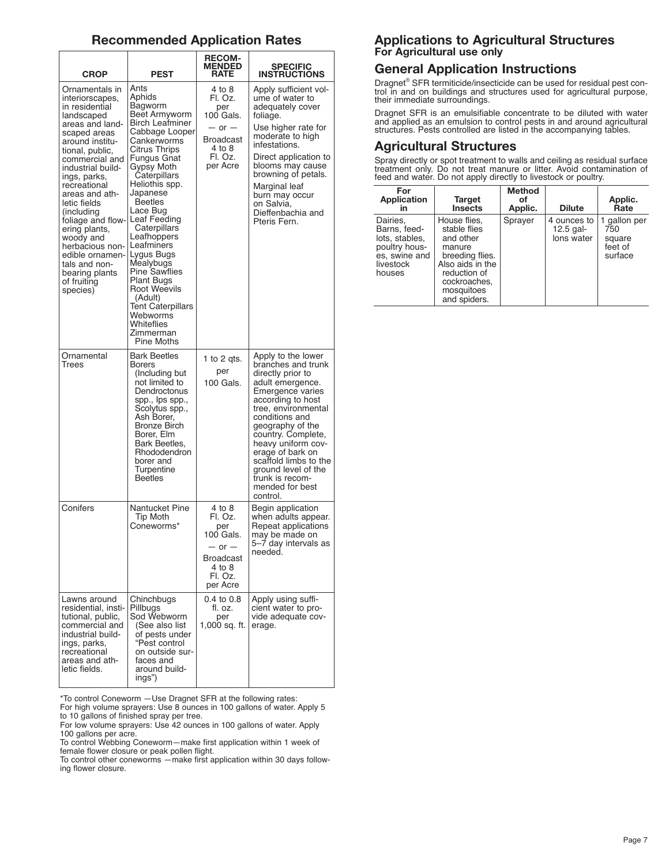# **Recommended Application Rates**

| <b>CROP</b>                                                                                                                                                                                                                                                                                                                                                                                                              | <b>PEST</b>                                                                                                                                                                                                                                                                                                                                                                                                                                                                              | <b>RECOM-</b><br><b>MENDED</b><br><b>RATE</b>                                                         | <b>SPECIFIC</b><br><b>INSTRUCTIONS</b>                                                                                                                                                                                                                                                                                                                    |
|--------------------------------------------------------------------------------------------------------------------------------------------------------------------------------------------------------------------------------------------------------------------------------------------------------------------------------------------------------------------------------------------------------------------------|------------------------------------------------------------------------------------------------------------------------------------------------------------------------------------------------------------------------------------------------------------------------------------------------------------------------------------------------------------------------------------------------------------------------------------------------------------------------------------------|-------------------------------------------------------------------------------------------------------|-----------------------------------------------------------------------------------------------------------------------------------------------------------------------------------------------------------------------------------------------------------------------------------------------------------------------------------------------------------|
| Ornamentals in<br>interiorscapes,<br>in residential<br>landscaped<br>areas and land-<br>scaped areas<br>around institu-<br>tional, public,<br>commercial and<br>industrial build-<br>ings, parks,<br>recreational<br>areas and ath-<br>letic fields<br>(including<br>foliage and flow-<br>ering plants,<br>woody and<br>herbacious non-<br>edible ornamen-<br>tals and non-<br>bearing plants<br>of fruiting<br>species) | Ants<br>Aphids<br>Bagworm<br>Beet Armyworm<br><b>Birch Leafminer</b><br>Cabbage Looper<br>Cankerworms<br>Citrus Thrips<br>Fungus Gnat<br>Gypsy Moth<br>Caterpillars<br>Heliothis spp.<br>Japanese<br><b>Beetles</b><br>Lace Bug<br> Leaf Feeding<br>Caterpillars<br>Leafhoppers<br>Leafminers<br>Lygus Bugs<br>Mealybugs<br><b>Pine Sawflies</b><br><b>Plant Bugs</b><br><b>Root Weevils</b><br>(Adult)<br><b>Tent Caterpillars</b><br>Webworms<br>Whiteflies<br>Zimmerman<br>Pine Moths | 4 to 8<br>Fl. Oz.<br>per<br>100 Gals.<br>$-$ or $-$<br>Broadcast<br>4 to 8<br>Fl. Oz.<br>per Acre     | Apply sufficient vol-<br>ume of water to<br>adequately cover<br>foliage.<br>Use higher rate for<br>moderate to high<br>infestations.<br>Direct application to<br>blooms may cause<br>browning of petals.<br>Marginal leaf<br>burn may occur<br>on Salvia,<br>Dieffenbachia and<br>Pteris Fern.                                                            |
| Ornamental<br>Trees                                                                                                                                                                                                                                                                                                                                                                                                      | <b>Bark Beetles</b><br><b>Borers</b><br>(Including but)<br>not limited to<br>Dendroctonus<br>spp., Ips spp.,<br>Scolytus spp.,<br>Ash Borer,<br>Bronze Birch<br>Borer, Elm<br>Bark Beetles,<br>Rhododendron<br>borer and<br>Turpentine<br><b>Beetles</b>                                                                                                                                                                                                                                 | 1 to 2 gts.<br>per<br>100 Gals.                                                                       | Apply to the lower<br>branches and trunk<br>directly prior to<br>adult emergence.<br>Emergence varies<br>according to host<br>tree, environmental<br>conditions and<br>geography of the<br>country. Complete,<br>heavy uniform cov-<br>erage of bark on<br>scaffold limbs to the<br>ground level of the<br>trunk is recom-<br>mended for best<br>control. |
| Conifers                                                                                                                                                                                                                                                                                                                                                                                                                 | Nantucket Pine<br>Tip Moth<br>Coneworms*                                                                                                                                                                                                                                                                                                                                                                                                                                                 | $4$ to $8$<br>Fl. Oz.<br>per<br>100 Gals.<br>$-$ or $-$<br>Broadcast<br>4 to 8<br>Fl. Oz.<br>per Acre | Begin application<br>when adults appear.<br>Repeat applications<br>may be made on<br>5–7 day intervals as<br>needed.                                                                                                                                                                                                                                      |
| Lawns around<br>residential, insti-<br>tutional, public,<br>commercial and<br>industrial build-<br>ings, parks,<br>recreational<br>areas and ath-<br>letic fields.                                                                                                                                                                                                                                                       | Chinchbugs<br>Pillbugs<br>Sod Webworm<br>(See also list<br>of pests under<br>"Pest control<br>on outside sur-<br>faces and<br>around build-<br>ings")                                                                                                                                                                                                                                                                                                                                    | 0.4 to 0.8<br>fl. oz.<br>per<br>1,000 sq. ft.                                                         | Apply using suffi-<br>cient water to pro-<br>vide adequate cov-<br>erage.                                                                                                                                                                                                                                                                                 |

\*To control Coneworm —Use Dragnet SFR at the following rates:

For high volume sprayers: Use 8 ounces in 100 gallons of water. Apply 5 to 10 gallons of finished spray per tree.

For low volume sprayers: Use 42 ounces in 100 gallons of water. Apply 100 gallons per acre.

To control Webbing Coneworm—make first application within 1 week of female flower closure or peak pollen flight.

To control other coneworms —make first application within 30 days following flower closure.

# **Applications to Agricultural Structures For Agricultural use only**

# **General Application Instructions**

Dragnet® SFR termiticide/insecticide can be used for residual pest con-Examples the institution in and on buildings and structures used for agricultural purpose, their immediate surroundings.

Dragnet SFR is an emulsifiable concentrate to be diluted with water and applied as an emulsion to control pests in and around agricultural structures. Pests controlled are listed in the accompanying tables.

# **Agricultural Structures**

Spray directly or spot treatment to walls and ceiling as residual surface<br>treatment only. Do not treat manure or litter. Avoid contamination of<br>feed and water. Do not apply directly to livestock or poultry.

| For<br><b>Application</b><br>in                                                                     | <b>Target</b><br><b>Insects</b>                                                                                                                          | <b>Method</b><br>οt<br>Applic. | <b>Dilute</b>                            | Applic.<br>Rate                                   |
|-----------------------------------------------------------------------------------------------------|----------------------------------------------------------------------------------------------------------------------------------------------------------|--------------------------------|------------------------------------------|---------------------------------------------------|
| Dairies.<br>Barns, feed-<br>lots, stables,<br>poultry hous-<br>es, swine and<br>livestock<br>houses | House flies.<br>stable flies<br>and other<br>manure<br>breeding flies.<br>Also aids in the<br>reduction of<br>cockroaches,<br>mosquitoes<br>and spiders. | Sprayer                        | 4 ounces to<br>$12.5$ gal-<br>lons water | gallon per<br>750<br>square<br>feet of<br>surface |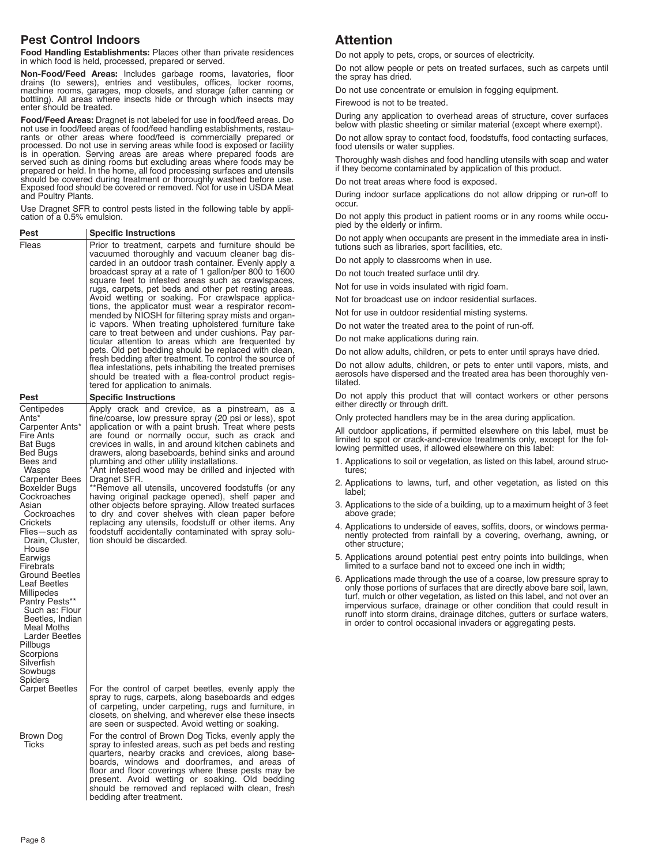# **Pest Control Indoors**

**Food Handling Establishments:** Places other than private residences in which food is held, processed, prepared or served.

Non-Food/Feed Areas: Includes garbage rooms, lavatories, floor drains (to sewers), entries and vestibules, offices, locker rooms, machine rooms, garages, mop closets, and storage (after canning or bottling). All areas wher

Food/Feed Areas: Dragnet is not labeled for use in food/feed areas. Do not use in food/feed areas of food/feed handling establishments, restaurants or other areas where food/feed is commercially prepared or processed. Do n is in operation. Serving areas are areas where prepared foods are<br>served such as dining rooms but excluding areas where prepared foods are<br>served such as dining rooms but excluding areas where foods may be<br>prepared or held

Use Dragnet SFR to control pests listed in the following table by appli- cation of <sup>a</sup> 0.5% emulsion.

| Pest                                                                                                                                                                                                                                                                                                                                                                                                                                                                          | <b>Specific Instructions</b>                                                                                                                                                                                                                                                                                                                                                                                                                                                                                                                                                                                                                                                                                                                                                                                                                                                                                                                            |
|-------------------------------------------------------------------------------------------------------------------------------------------------------------------------------------------------------------------------------------------------------------------------------------------------------------------------------------------------------------------------------------------------------------------------------------------------------------------------------|---------------------------------------------------------------------------------------------------------------------------------------------------------------------------------------------------------------------------------------------------------------------------------------------------------------------------------------------------------------------------------------------------------------------------------------------------------------------------------------------------------------------------------------------------------------------------------------------------------------------------------------------------------------------------------------------------------------------------------------------------------------------------------------------------------------------------------------------------------------------------------------------------------------------------------------------------------|
| Fleas                                                                                                                                                                                                                                                                                                                                                                                                                                                                         | Prior to treatment, carpets and furniture should be<br>vacuumed thoroughly and vacuum cleaner bag dis-<br>carded in an outdoor trash container. Evenly apply a<br>broadcast spray at a rate of 1 gallon/per 800 to 1600<br>square feet to infested areas such as crawlspaces,<br>rugs, carpets, pet beds and other pet resting areas.<br>Avoid wetting or soaking. For crawlspace applica-<br>tions, the applicator must wear a respirator recom-<br>mended by NIOSH for filtering spray mists and organ-<br>ic vapors. When treating upholstered furniture take<br>care to treat between and under cushions. Pay par-<br>ticular attention to areas which are frequented by<br>pets. Old pet bedding should be replaced with clean,<br>fresh bedding after treatment. To control the source of<br>flea infestations, pets inhabiting the treated premises<br>should be treated with a flea-control product regis-<br>tered for application to animals. |
| Pest                                                                                                                                                                                                                                                                                                                                                                                                                                                                          | Specific Instructions                                                                                                                                                                                                                                                                                                                                                                                                                                                                                                                                                                                                                                                                                                                                                                                                                                                                                                                                   |
| Centipedes<br>Ants*<br>Carpenter Ants*<br>Fire Ants<br><b>Bat Bugs</b><br><b>Bed Bugs</b><br>Bees and<br>Wasps<br>Carpenter Bees<br>Boxelder Bugs<br>Cockroaches<br>Asian<br>Cockroaches<br>Crickets<br>Flies-such as<br>Drain, Cluster,<br>House<br>Earwigs<br>Firebrats<br>Ground Beetles<br>Leaf Beetles<br>Millipedes<br>Pantry Pests**<br>Such as: Flour<br>Beetles, Indian<br>Meal Moths<br>Larder Beetles<br>Pillbugs<br>Scorpions<br>Silverfish<br>Sowbugs<br>Spiders | Apply crack and crevice, as a pinstream, as a<br>fine/coarse, low pressure spray (20 psi or less), spot<br>application or with a paint brush. Treat where pests<br>are found or normally occur, such as crack and<br>crevices in walls, in and around kitchen cabinets and<br>drawers, along baseboards, behind sinks and around<br>plumbing and other utility installations.<br>Ant infested wood may be drilled and injected with<br>Dragnet SFR.<br>**Remove all utensils, uncovered foodstuffs (or any<br>having original package opened), shelf paper and<br>other objects before spraying. Allow treated surfaces<br>to dry and cover shelves with clean paper before<br>replacing any utensils, foodstuff or other items. Any<br>foodstuff accidentally contaminated with spray solu-<br>tion should be discarded.                                                                                                                               |
| Carpet Beetles                                                                                                                                                                                                                                                                                                                                                                                                                                                                | For the control of carpet beetles, evenly apply the<br>spray to rugs, carpets, along baseboards and edges<br>of carpeting, under carpeting, rugs and furniture, in<br>closets, on shelving, and wherever else these insects<br>are seen or suspected. Avoid wetting or soaking.                                                                                                                                                                                                                                                                                                                                                                                                                                                                                                                                                                                                                                                                         |
| Brown Dog<br>Ticks                                                                                                                                                                                                                                                                                                                                                                                                                                                            | For the control of Brown Dog Ticks, evenly apply the<br>spray to infested areas, such as pet beds and resting<br>quarters, nearby cracks and crevices, along base-<br>boards, windows and doorframes, and areas of<br>floor and floor coverings where these pests may be<br>present. Avoid wetting or soaking. Old bedding<br>should be removed and replaced with clean, fresh<br>bedding after treatment.                                                                                                                                                                                                                                                                                                                                                                                                                                                                                                                                              |

# **Attention**

Do not apply to pets, crops, or sources of electricity.

Do not allow people or pets on treated surfaces, such as carpets until the spray has dried.

Do not use concentrate or emulsion in fogging equipment.

Firewood is not to be treated.

During any application to overhead areas of structure, cover surfaces below with plastic sheeting or similar material (except where exempt).

Do not allow spray to contact food, foodstuffs, food contacting surfaces, food utensils or water supplies.

Thoroughly wash dishes and food handling utensils with soap and water if they become contaminated by application of this product.

Do not treat areas where food is exposed.

During indoor surface applications do not allow dripping or run-off to occur.

Do not apply this product in patient rooms or in any rooms while occupied by the elderly or infirm.

Do not apply when occupants are present in the immediate area in institutions such as libraries, sport facilities, etc.

Do not apply to classrooms when in use.

Do not touch treated surface until dry.

Not for use in voids insulated with rigid foam.

Not for broadcast use on indoor residential surfaces.

Not for use in outdoor residential misting systems.

Do not water the treated area to the point of run-off.

Do not make applications during rain.

Do not allow adults, children, or pets to enter until sprays have dried.

Do not allow adults, children, or pets to enter until vapors, mists, and aerosols have dispersed and the treated area has been thoroughly ventilated.

Do not apply this product that will contact workers or other persons either directly or through drift.

Only protected handlers may be in the area during application.

All outdoor applications, if permitted elsewhere on this label, must be limited to spot or crack-and-crevice treatments only, except for the following permitted uses, if allowed elsewhere on this label:

- 1. Applications to soil or vegetation, as listed on this label, around structures;
- 2. Applications to lawns, turf, and other vegetation, as listed on this label;
- 3. Applications to the side of a building, up to a maximum height of 3 feet above grade:
- 4. Applications to underside of eaves, soffits, doors, or windows permanently protected from rainfall by a covering, overhang, awning, or other structure;
- 5. Applications around potential pest entry points into buildings, when limited to a surface band not to exceed one inch in width;
- 6. Applications made through the use of a coarse, low pressure spray to only those portions of surfaces that are directly above bare soil, lawn, turf, mulch or other vegetation, as listed on this label, and not over an impervious surface, drainage or other condition that could result in runoff into storm drains, drainage ditches, gutters or surface waters, in order to control occasional invaders or aggregating pests.